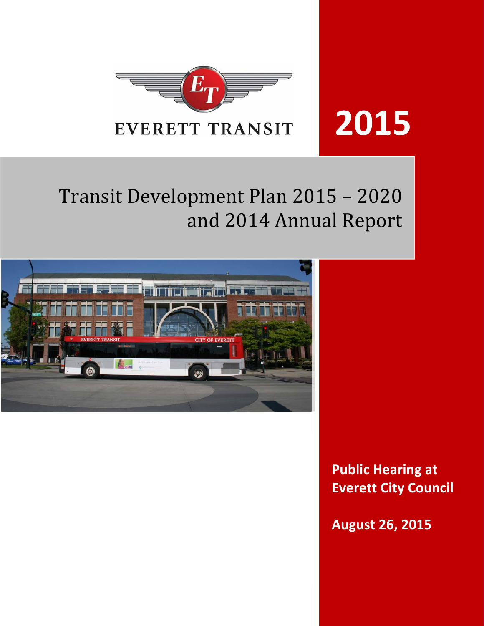

**2015**

# Transit Development Plan 2015 - 2020 and 2014 Annual Report



**Public Hearing at Everett City Council**

**August 26, 2015**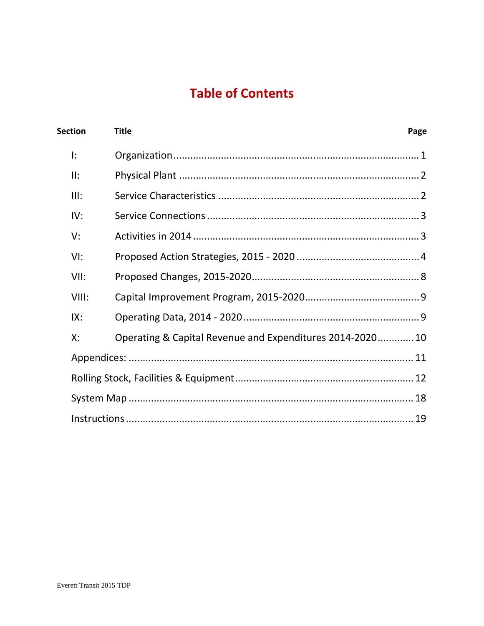# **Table of Contents**

| <b>Section</b> | <b>Title</b>                                             | Page |
|----------------|----------------------------------------------------------|------|
| I:             |                                                          |      |
| II:            |                                                          |      |
| III:           |                                                          |      |
| IV:            |                                                          |      |
| V:             |                                                          |      |
| VI:            |                                                          |      |
| VII:           |                                                          |      |
| VIII:          |                                                          |      |
| IX:            |                                                          |      |
| X:             | Operating & Capital Revenue and Expenditures 2014-202010 |      |
|                |                                                          |      |
|                |                                                          |      |
|                |                                                          |      |
|                |                                                          |      |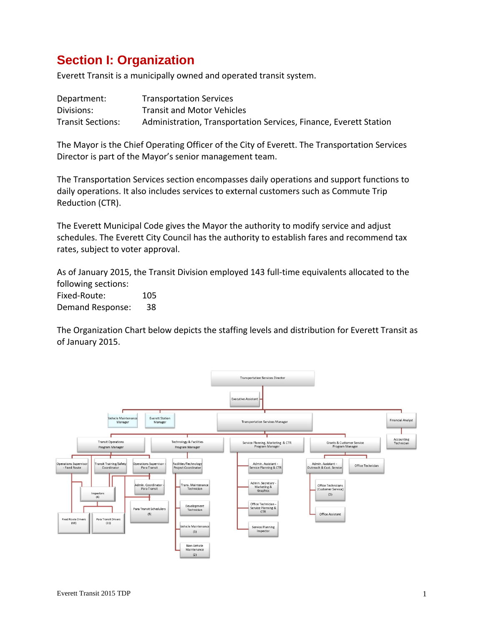# **Section I: Organization**

Everett Transit is a municipally owned and operated transit system.

| Department:              | <b>Transportation Services</b>                                    |
|--------------------------|-------------------------------------------------------------------|
| Divisions:               | <b>Transit and Motor Vehicles</b>                                 |
| <b>Transit Sections:</b> | Administration, Transportation Services, Finance, Everett Station |

The Mayor is the Chief Operating Officer of the City of Everett. The Transportation Services Director is part of the Mayor's senior management team.

The Transportation Services section encompasses daily operations and support functions to daily operations. It also includes services to external customers such as Commute Trip Reduction (CTR).

The Everett Municipal Code gives the Mayor the authority to modify service and adjust schedules. The Everett City Council has the authority to establish fares and recommend tax rates, subject to voter approval.

As of January 2015, the Transit Division employed 143 full‐time equivalents allocated to the following sections:

Fixed-Route: 105 Demand Response: 38

The Organization Chart below depicts the staffing levels and distribution for Everett Transit as of January 2015.

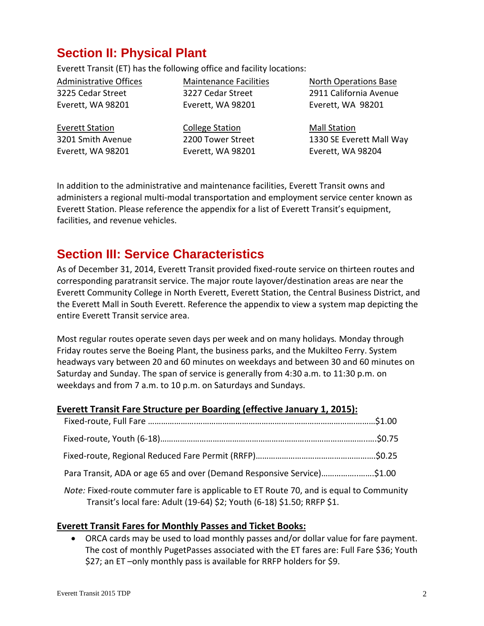# **Section II: Physical Plant**

Everett Transit (ET) has the following office and facility locations:

Administrative Offices 3225 Cedar Street Everett, WA 98201

Maintenance Facilities 3227 Cedar Street Everett, WA 98201

North Operations Base 2911 California Avenue Everett, WA 98201

Everett Station 3201 Smith Avenue Everett, WA 98201

College Station 2200 Tower Street Everett, WA 98201 Mall Station 1330 SE Everett Mall Way Everett, WA 98204

In addition to the administrative and maintenance facilities, Everett Transit owns and administers a regional multi‐modal transportation and employment service center known as Everett Station. Please reference the appendix for a list of Everett Transit's equipment, facilities, and revenue vehicles.

# **Section III: Service Characteristics**

As of December 31, 2014, Everett Transit provided fixed‐route service on thirteen routes and corresponding paratransit service. The major route layover/destination areas are near the Everett Community College in North Everett, Everett Station, the Central Business District, and the Everett Mall in South Everett. Reference the appendix to view a system map depicting the entire Everett Transit service area.

Most regular routes operate seven days per week and on many holidays*.* Monday through Friday routes serve the Boeing Plant, the business parks, and the Mukilteo Ferry. System headways vary between 20 and 60 minutes on weekdays and between 30 and 60 minutes on Saturday and Sunday. The span of service is generally from 4:30 a.m. to 11:30 p.m. on weekdays and from 7 a.m. to 10 p.m. on Saturdays and Sundays.

### **Everett Transit Fare Structure per Boarding (effective January 1, 2015):**

| Para Transit, ADA or age 65 and over (Demand Responsive Service)\$1.00 |  |
|------------------------------------------------------------------------|--|
|                                                                        |  |

*Note:* Fixed-route commuter fare is applicable to ET Route 70, and is equal to Community Transit's local fare: Adult (19‐64) \$2; Youth (6‐18) \$1.50; RRFP \$1.

### **Everett Transit Fares for Monthly Passes and Ticket Books:**

 ORCA cards may be used to load monthly passes and/or dollar value for fare payment. The cost of monthly PugetPasses associated with the ET fares are: Full Fare \$36; Youth \$27; an ET –only monthly pass is available for RRFP holders for \$9.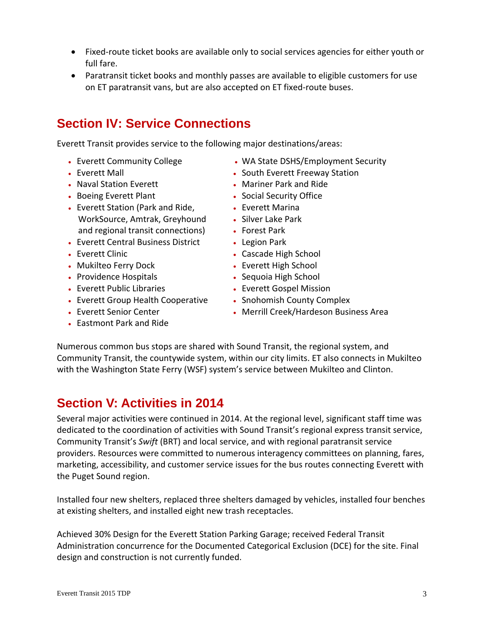- Fixed-route ticket books are available only to social services agencies for either youth or full fare.
- Paratransit ticket books and monthly passes are available to eligible customers for use on ET paratransit vans, but are also accepted on ET fixed‐route buses.

## **Section IV: Service Connections**

Everett Transit provides service to the following major destinations/areas:

- Everett Community College
- Everett Mall
- Naval Station Everett
- Boeing Everett Plant
- Everett Station (Park and Ride, WorkSource, Amtrak, Greyhound and regional transit connections)
- Everett Central Business District
- **Everett Clinic**
- Mukilteo Ferry Dock
- Providence Hospitals
- Everett Public Libraries
- Everett Group Health Cooperative
- Everett Senior Center
- Eastmont Park and Ride
- WA State DSHS/Employment Security
- South Everett Freeway Station
- Mariner Park and Ride
- Social Security Office
- Everett Marina
- Silver Lake Park
- Forest Park
- Legion Park
- Cascade High School
- Everett High School
- Sequoia High School
- Everett Gospel Mission
- Snohomish County Complex
- Merrill Creek/Hardeson Business Area

Numerous common bus stops are shared with Sound Transit, the regional system, and Community Transit, the countywide system, within our city limits. ET also connects in Mukilteo with the Washington State Ferry (WSF) system's service between Mukilteo and Clinton.

## **Section V: Activities in 2014**

Several major activities were continued in 2014. At the regional level, significant staff time was dedicated to the coordination of activities with Sound Transit's regional express transit service, Community Transit's *Swift* (BRT) and local service, and with regional paratransit service providers. Resources were committed to numerous interagency committees on planning, fares, marketing, accessibility, and customer service issues for the bus routes connecting Everett with the Puget Sound region.

Installed four new shelters, replaced three shelters damaged by vehicles, installed four benches at existing shelters, and installed eight new trash receptacles.

Achieved 30% Design for the Everett Station Parking Garage; received Federal Transit Administration concurrence for the Documented Categorical Exclusion (DCE) for the site. Final design and construction is not currently funded.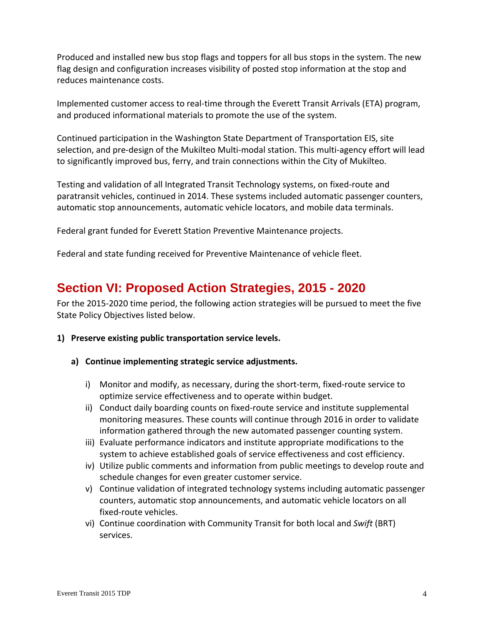Produced and installed new bus stop flags and toppers for all bus stops in the system. The new flag design and configuration increases visibility of posted stop information at the stop and reduces maintenance costs.

Implemented customer access to real‐time through the Everett Transit Arrivals (ETA) program, and produced informational materials to promote the use of the system.

Continued participation in the Washington State Department of Transportation EIS, site selection, and pre-design of the Mukilteo Multi-modal station. This multi-agency effort will lead to significantly improved bus, ferry, and train connections within the City of Mukilteo.

Testing and validation of all Integrated Transit Technology systems, on fixed‐route and paratransit vehicles, continued in 2014. These systems included automatic passenger counters, automatic stop announcements, automatic vehicle locators, and mobile data terminals.

Federal grant funded for Everett Station Preventive Maintenance projects.

Federal and state funding received for Preventive Maintenance of vehicle fleet.

## **Section VI: Proposed Action Strategies, 2015 - 2020**

For the 2015-2020 time period, the following action strategies will be pursued to meet the five State Policy Objectives listed below.

- **1) Preserve existing public transportation service levels.**
	- **a) Continue implementing strategic service adjustments.**
		- i) Monitor and modify, as necessary, during the short-term, fixed-route service to optimize service effectiveness and to operate within budget.
		- ii) Conduct daily boarding counts on fixed-route service and institute supplemental monitoring measures. These counts will continue through 2016 in order to validate information gathered through the new automated passenger counting system.
		- iii) Evaluate performance indicators and institute appropriate modifications to the system to achieve established goals of service effectiveness and cost efficiency.
		- iv) Utilize public comments and information from public meetings to develop route and schedule changes for even greater customer service.
		- v) Continue validation of integrated technology systems including automatic passenger counters, automatic stop announcements, and automatic vehicle locators on all fixed‐route vehicles.
		- vi) Continue coordination with Community Transit for both local and *Swift* (BRT) services.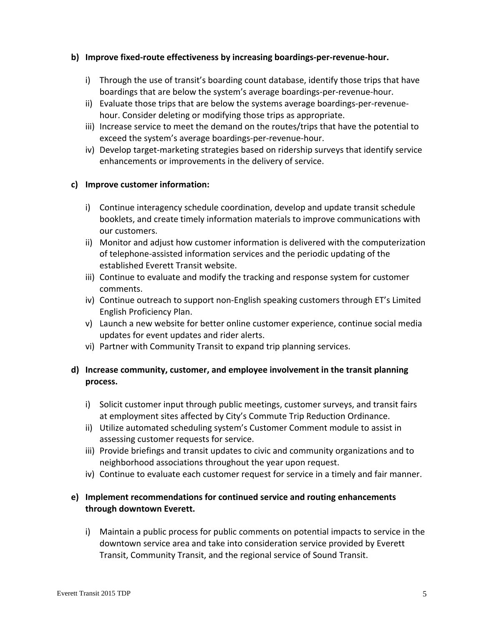#### **b) Improve fixed‐route effectiveness by increasing boardings‐per‐revenue‐hour.**

- i) Through the use of transit's boarding count database, identify those trips that have boardings that are below the system's average boardings‐per‐revenue‐hour.
- ii) Evaluate those trips that are below the systems average boardings‐per‐revenue‐ hour. Consider deleting or modifying those trips as appropriate.
- iii) Increase service to meet the demand on the routes/trips that have the potential to exceed the system's average boardings‐per‐revenue‐hour.
- iv) Develop target‐marketing strategies based on ridership surveys that identify service enhancements or improvements in the delivery of service.

#### **c) Improve customer information:**

- i) Continue interagency schedule coordination, develop and update transit schedule booklets, and create timely information materials to improve communications with our customers.
- ii) Monitor and adjust how customer information is delivered with the computerization of telephone‐assisted information services and the periodic updating of the established Everett Transit website.
- iii) Continue to evaluate and modify the tracking and response system for customer comments.
- iv) Continue outreach to support non‐English speaking customers through ET's Limited English Proficiency Plan.
- v) Launch a new website for better online customer experience, continue social media updates for event updates and rider alerts.
- vi) Partner with Community Transit to expand trip planning services.

### **d) Increase community, customer, and employee involvement in the transit planning process.**

- i) Solicit customer input through public meetings, customer surveys, and transit fairs at employment sites affected by City's Commute Trip Reduction Ordinance.
- ii) Utilize automated scheduling system's Customer Comment module to assist in assessing customer requests for service.
- iii) Provide briefings and transit updates to civic and community organizations and to neighborhood associations throughout the year upon request.
- iv) Continue to evaluate each customer request for service in a timely and fair manner.

### **e) Implement recommendations for continued service and routing enhancements through downtown Everett.**

i) Maintain a public process for public comments on potential impacts to service in the downtown service area and take into consideration service provided by Everett Transit, Community Transit, and the regional service of Sound Transit.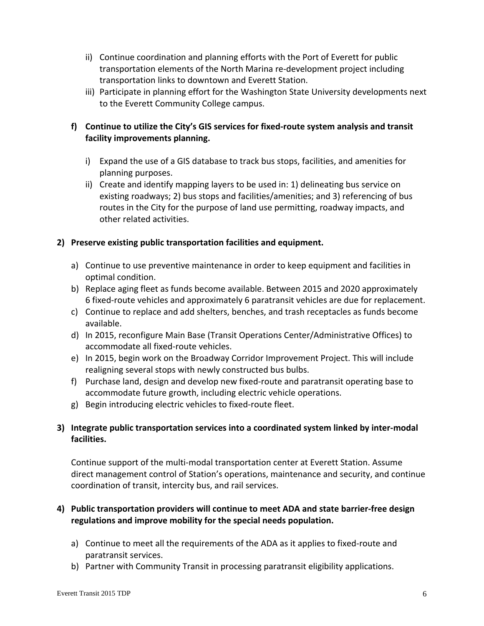- ii) Continue coordination and planning efforts with the Port of Everett for public transportation elements of the North Marina re‐development project including transportation links to downtown and Everett Station.
- iii) Participate in planning effort for the Washington State University developments next to the Everett Community College campus.

### **f) Continue to utilize the City's GIS services for fixed‐route system analysis and transit facility improvements planning.**

- i) Expand the use of a GIS database to track bus stops, facilities, and amenities for planning purposes.
- ii) Create and identify mapping layers to be used in: 1) delineating bus service on existing roadways; 2) bus stops and facilities/amenities; and 3) referencing of bus routes in the City for the purpose of land use permitting, roadway impacts, and other related activities.

### **2) Preserve existing public transportation facilities and equipment.**

- a) Continue to use preventive maintenance in order to keep equipment and facilities in optimal condition.
- b) Replace aging fleet as funds become available. Between 2015 and 2020 approximately 6 fixed‐route vehicles and approximately 6 paratransit vehicles are due for replacement.
- c) Continue to replace and add shelters, benches, and trash receptacles as funds become available.
- d) In 2015, reconfigure Main Base (Transit Operations Center/Administrative Offices) to accommodate all fixed‐route vehicles.
- e) In 2015, begin work on the Broadway Corridor Improvement Project. This will include realigning several stops with newly constructed bus bulbs.
- f) Purchase land, design and develop new fixed‐route and paratransit operating base to accommodate future growth, including electric vehicle operations.
- g) Begin introducing electric vehicles to fixed‐route fleet.

### **3) Integrate public transportation services into a coordinated system linked by inter‐modal facilities.**

Continue support of the multi‐modal transportation center at Everett Station. Assume direct management control of Station's operations, maintenance and security, and continue coordination of transit, intercity bus, and rail services.

### **4) Public transportation providers will continue to meet ADA and state barrier‐free design regulations and improve mobility for the special needs population.**

- a) Continue to meet all the requirements of the ADA as it applies to fixed‐route and paratransit services.
- b) Partner with Community Transit in processing paratransit eligibility applications.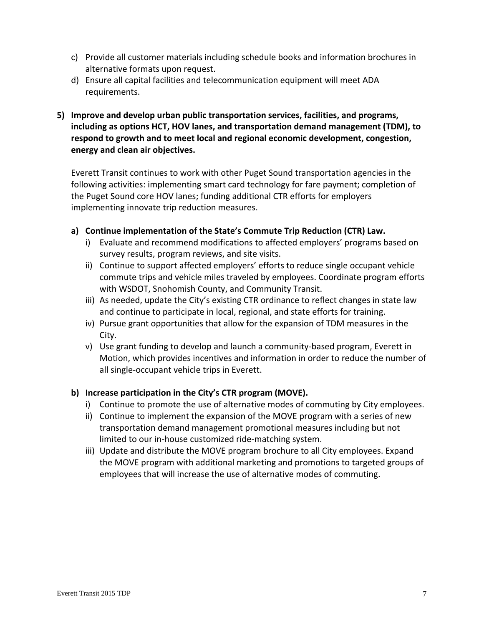- c) Provide all customer materials including schedule books and information brochures in alternative formats upon request.
- d) Ensure all capital facilities and telecommunication equipment will meet ADA requirements.
- **5) Improve and develop urban public transportation services, facilities, and programs, including as options HCT, HOV lanes, and transportation demand management (TDM), to respond to growth and to meet local and regional economic development, congestion, energy and clean air objectives.**

Everett Transit continues to work with other Puget Sound transportation agencies in the following activities: implementing smart card technology for fare payment; completion of the Puget Sound core HOV lanes; funding additional CTR efforts for employers implementing innovate trip reduction measures.

- **a) Continue implementation of the State's Commute Trip Reduction (CTR) Law.**
	- i) Evaluate and recommend modifications to affected employers' programs based on survey results, program reviews, and site visits.
	- ii) Continue to support affected employers' efforts to reduce single occupant vehicle commute trips and vehicle miles traveled by employees. Coordinate program efforts with WSDOT, Snohomish County, and Community Transit.
	- iii) As needed, update the City's existing CTR ordinance to reflect changes in state law and continue to participate in local, regional, and state efforts for training.
	- iv) Pursue grant opportunities that allow for the expansion of TDM measures in the City.
	- v) Use grant funding to develop and launch a community‐based program, Everett in Motion, which provides incentives and information in order to reduce the number of all single‐occupant vehicle trips in Everett.

### **b) Increase participation in the City's CTR program (MOVE).**

- i) Continue to promote the use of alternative modes of commuting by City employees.
- ii) Continue to implement the expansion of the MOVE program with a series of new transportation demand management promotional measures including but not limited to our in‐house customized ride‐matching system.
- iii) Update and distribute the MOVE program brochure to all City employees. Expand the MOVE program with additional marketing and promotions to targeted groups of employees that will increase the use of alternative modes of commuting.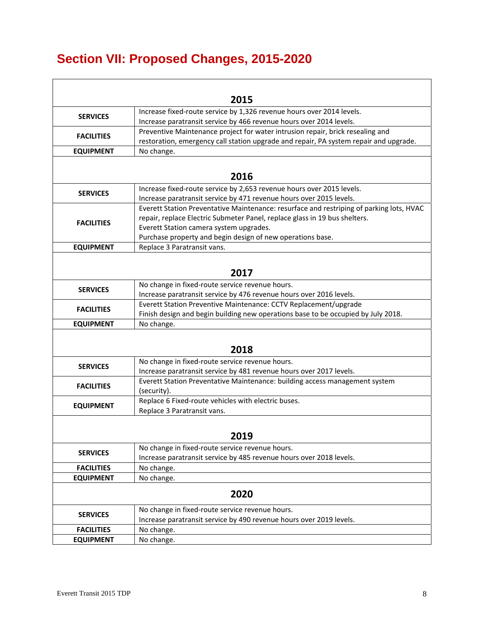# **Section VII: Proposed Changes, 2015-2020**

|                   | 2015                                                                                     |
|-------------------|------------------------------------------------------------------------------------------|
| <b>SERVICES</b>   | Increase fixed-route service by 1,326 revenue hours over 2014 levels.                    |
|                   | Increase paratransit service by 466 revenue hours over 2014 levels.                      |
| <b>FACILITIES</b> | Preventive Maintenance project for water intrusion repair, brick resealing and           |
|                   | restoration, emergency call station upgrade and repair, PA system repair and upgrade.    |
| <b>EQUIPMENT</b>  | No change.                                                                               |
|                   |                                                                                          |
|                   | 2016                                                                                     |
| <b>SERVICES</b>   | Increase fixed-route service by 2,653 revenue hours over 2015 levels.                    |
|                   | Increase paratransit service by 471 revenue hours over 2015 levels.                      |
|                   | Everett Station Preventative Maintenance: resurface and restriping of parking lots, HVAC |
| <b>FACILITIES</b> | repair, replace Electric Submeter Panel, replace glass in 19 bus shelters.               |
|                   | Everett Station camera system upgrades.                                                  |
|                   | Purchase property and begin design of new operations base.                               |
| <b>EQUIPMENT</b>  | Replace 3 Paratransit vans.                                                              |
|                   |                                                                                          |
|                   | 2017                                                                                     |
| <b>SERVICES</b>   | No change in fixed-route service revenue hours.                                          |
|                   | Increase paratransit service by 476 revenue hours over 2016 levels.                      |
| <b>FACILITIES</b> | Everett Station Preventive Maintenance: CCTV Replacement/upgrade                         |
|                   | Finish design and begin building new operations base to be occupied by July 2018.        |
| <b>EQUIPMENT</b>  | No change.                                                                               |
|                   |                                                                                          |
|                   | 2018                                                                                     |
| <b>SERVICES</b>   | No change in fixed-route service revenue hours.                                          |
|                   | Increase paratransit service by 481 revenue hours over 2017 levels.                      |
| <b>FACILITIES</b> | Everett Station Preventative Maintenance: building access management system              |
|                   | (security).                                                                              |
| <b>EQUIPMENT</b>  | Replace 6 Fixed-route vehicles with electric buses.<br>Replace 3 Paratransit vans.       |
|                   |                                                                                          |
|                   |                                                                                          |
|                   | 2019                                                                                     |
| <b>SERVICES</b>   | No change in fixed-route service revenue hours.                                          |
|                   | Increase paratransit service by 485 revenue hours over 2018 levels.                      |
| <b>FACILITIES</b> | No change.                                                                               |
| <b>EQUIPMENT</b>  | No change.                                                                               |
|                   | 2020                                                                                     |
|                   | No change in fixed-route service revenue hours.                                          |
| <b>SERVICES</b>   | Increase paratransit service by 490 revenue hours over 2019 levels.                      |
| <b>FACILITIES</b> | No change.                                                                               |
| <b>EQUIPMENT</b>  | No change.                                                                               |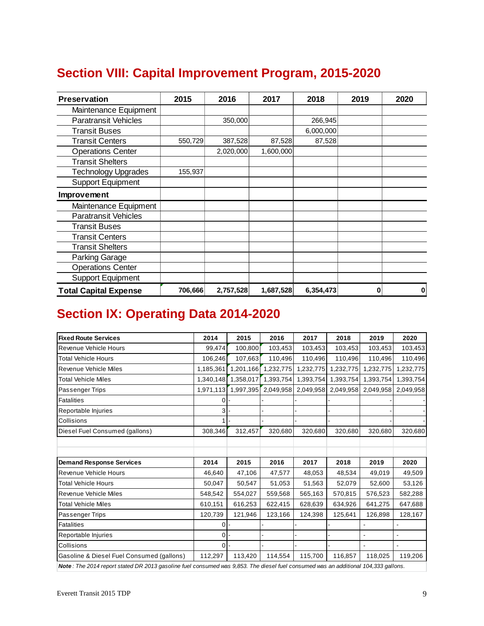|  |  | <b>Section VIII: Capital Improvement Program, 2015-2020</b> |  |  |
|--|--|-------------------------------------------------------------|--|--|
|--|--|-------------------------------------------------------------|--|--|

| <b>Preservation</b>          | 2015    | 2016      | 2017      | 2018      | 2019 | 2020        |
|------------------------------|---------|-----------|-----------|-----------|------|-------------|
| Maintenance Equipment        |         |           |           |           |      |             |
| <b>Paratransit Vehicles</b>  |         | 350,000   |           | 266,945   |      |             |
| <b>Transit Buses</b>         |         |           |           | 6,000,000 |      |             |
| <b>Transit Centers</b>       | 550,729 | 387,528   | 87,528    | 87,528    |      |             |
| <b>Operations Center</b>     |         | 2,020,000 | 1,600,000 |           |      |             |
| <b>Transit Shelters</b>      |         |           |           |           |      |             |
| <b>Technology Upgrades</b>   | 155,937 |           |           |           |      |             |
| <b>Support Equipment</b>     |         |           |           |           |      |             |
| Improvement                  |         |           |           |           |      |             |
| Maintenance Equipment        |         |           |           |           |      |             |
| <b>Paratransit Vehicles</b>  |         |           |           |           |      |             |
| <b>Transit Buses</b>         |         |           |           |           |      |             |
| <b>Transit Centers</b>       |         |           |           |           |      |             |
| <b>Transit Shelters</b>      |         |           |           |           |      |             |
| Parking Garage               |         |           |           |           |      |             |
| <b>Operations Center</b>     |         |           |           |           |      |             |
| <b>Support Equipment</b>     |         |           |           |           |      |             |
| <b>Total Capital Expense</b> | 706,666 | 2,757,528 | 1,687,528 | 6,354,473 | 0    | $\mathbf 0$ |

# **Section IX: Operating Data 2014-2020**

| <b>Fixed Route Services</b>                                                                                                        | 2014           | 2015      | 2016      | 2017      | 2018      | 2019      | 2020      |
|------------------------------------------------------------------------------------------------------------------------------------|----------------|-----------|-----------|-----------|-----------|-----------|-----------|
| Revenue Vehicle Hours                                                                                                              | 99,474         | 100,800   | 103,453   | 103,453   | 103,453   | 103,453   | 103,453   |
| <b>Total Vehicle Hours</b>                                                                                                         | 106,246        | 107,663   | 110,496   | 110,496   | 110,496   | 110,496   | 110,496   |
| Revenue Vehicle Miles                                                                                                              | 1,185,361      | 1,201,166 | 1,232,775 | 1,232,775 | 1,232,775 | 1,232,775 | 1,232,775 |
| <b>Total Vehicle Miles</b>                                                                                                         | 1,340,148      | 1,358,017 | 1,393,754 | 1,393,754 | 1,393,754 | 1,393,754 | 1,393,754 |
| Passenger Trips                                                                                                                    | 1,971,113      | 1,997,395 | 2,049,958 | 2,049,958 | 2,049,958 | 2,049,958 | 2,049,958 |
| Fatalities                                                                                                                         |                |           |           |           |           |           |           |
| Reportable Injuries                                                                                                                |                |           |           |           |           |           |           |
| Collisions                                                                                                                         |                |           |           |           |           |           |           |
| Diesel Fuel Consumed (gallons)                                                                                                     | 308,346        | 312,457   | 320,680   | 320.680   | 320.680   | 320,680   | 320,680   |
|                                                                                                                                    |                |           |           |           |           |           |           |
|                                                                                                                                    |                |           |           |           |           |           |           |
| <b>Demand Response Services</b>                                                                                                    | 2014           | 2015      | 2016      | 2017      | 2018      | 2019      | 2020      |
| Revenue Vehicle Hours                                                                                                              | 46.640         | 47,106    | 47,577    | 48,053    | 48,534    | 49.019    | 49,509    |
| <b>Total Vehicle Hours</b>                                                                                                         | 50,047         | 50,547    | 51,053    | 51,563    | 52,079    | 52,600    | 53,126    |
| Revenue Vehicle Miles                                                                                                              | 548,542        | 554,027   | 559,568   | 565,163   | 570,815   | 576,523   | 582,288   |
| <b>Total Vehicle Miles</b>                                                                                                         | 610,151        | 616,253   | 622,415   | 628,639   | 634,926   | 641,275   | 647,688   |
| Passenger Trips                                                                                                                    | 120,739        | 121,946   | 123,166   | 124,398   | 125,641   | 126,898   | 128,167   |
| <b>Fatalities</b>                                                                                                                  | $\Omega$       |           |           |           |           |           |           |
| Reportable Injuries                                                                                                                | 0 <sup>1</sup> |           |           |           |           |           |           |
| Collisions                                                                                                                         | $\Omega$       |           |           |           |           |           |           |
| Gasoline & Diesel Fuel Consumed (gallons)                                                                                          | 112,297        | 113,420   | 114,554   | 115,700   | 116,857   | 118,025   | 119,206   |
| Note: The 2014 report stated DR 2013 gasoline fuel consumed was 9,853. The diesel fuel consumed was an additional 104,333 gallons. |                |           |           |           |           |           |           |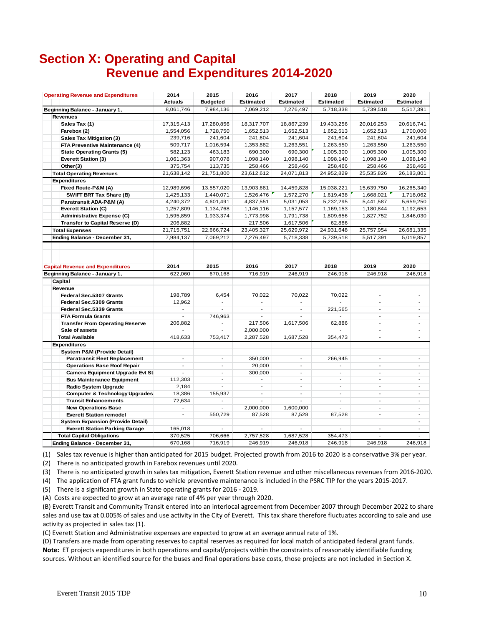## **Section X: Operating and Capital Revenue and Expenditures 2014-2020**

| <b>Operating Revenue and Expenditures</b> | 2014                     | 2015                     | 2016                     | 2017                     | 2018                     | 2019                     | 2020                     |
|-------------------------------------------|--------------------------|--------------------------|--------------------------|--------------------------|--------------------------|--------------------------|--------------------------|
|                                           | <b>Actuals</b>           | <b>Budgeted</b>          | <b>Estimated</b>         | <b>Estimated</b>         | <b>Estimated</b>         | <b>Estimated</b>         | <b>Estimated</b>         |
| Beginning Balance - January 1,            | 8,061,746                | 7,984,136                | 7,069,212                | 7,276,497                | 5,718,338                | 5,739,518                | 5,517,391                |
| <b>Revenues</b>                           |                          |                          |                          |                          |                          |                          |                          |
| Sales Tax (1)                             | 17,315,413               | 17,280,856               | 18,317,707               | 18,867,239               | 19,433,256               | 20,016,253               | 20,616,741               |
| Farebox (2)                               | 1,554,056                | 1,728,750                | 1,652,513                | 1,652,513                | 1,652,513                | 1,652,513                | 1,700,000                |
| <b>Sales Tax Mitigation (3)</b>           | 239,716                  | 241,604                  | 241,604                  | 241,604                  | 241,604                  | 241,604                  | 241,604                  |
| FTA Preventive Maintenance (4)            | 509,717                  | 1,016,594                | 1,353,882                | 1,263,551                | 1,263,550                | 1,263,550                | 1,263,550                |
| <b>State Operating Grants (5)</b>         | 582,123                  | 463,183                  | 690,300                  | 690,300                  | 1,005,300                | 1,005,300                | 1,005,300                |
| <b>Everett Station (3)</b>                | 1,061,363                | 907,078                  | 1,098,140                | 1,098,140                | 1,098,140                | 1,098,140                | 1,098,140                |
| Other(3)                                  | 375,754                  | 113,735                  | 258,466                  | 258,466                  | 258,466                  | 258,466                  | 258,466                  |
| <b>Total Operating Revenues</b>           | 21,638,142               | 21,751,800               | 23,612,612               | 24,071,813               | 24,952,829               | 25,535,826               | 26,183,801               |
| <b>Expenditures</b>                       |                          |                          |                          |                          |                          |                          |                          |
| Fixed Route-P&M (A)                       | 12,989,696               | 13,557,020               | 13,903,681               | 14,459,828               | 15,038,221               | 15,639,750               | 16,265,340               |
| SWIFT BRT Tax Share (B)                   | 1,425,133                | 1,440,071                | 1,526,476                | 1,572,270                | 1,619,438                | 1,668,021                | 1,718,062                |
| Paratransit ADA-P&M (A)                   | 4,240,372                | 4,601,491                | 4,837,551                | 5,031,053                | 5,232,295                | 5,441,587                | 5,659,250                |
| Everett Station (C)                       | 1,257,809                | 1,134,768                | 1,146,116                | 1,157,577                | 1,169,153                | 1,180,844                | 1,192,653                |
| <b>Administrative Expense (C)</b>         | 1,595,859                | 1,933,374                | 1,773,998                | 1,791,738                | 1,809,656                | 1,827,752                | 1,846,030                |
| Transfer to Capital Reserve (D)           | 206,882                  |                          | 217,506                  | 1,617,506                | 62,886                   |                          |                          |
| <b>Total Expenses</b>                     | 21,715,751               | 22,666,724               | 23,405,327               | 25.629.972               | 24,931,648               | 25,757,954               | 26,681,335               |
| Ending Balance - December 31,             | 7,984,137                | 7,069,212                | 7,276,497                | 5,718,338                | 5,739,518                | 5,517,391                | 5,019,857                |
|                                           |                          |                          |                          |                          |                          |                          |                          |
| <b>Capital Revenue and Expenditures</b>   | 2014                     | 2015                     | 2016                     | 2017                     | 2018                     | 2019                     | 2020                     |
| Beginning Balance - January 1,            | 622,060                  | 670,168                  | 716,919                  | 246,919                  | 246,918                  | 246,918                  | 246,918                  |
| Capital                                   |                          |                          |                          |                          |                          |                          |                          |
| Revenue                                   |                          |                          |                          |                          |                          |                          |                          |
| Federal Sec.5307 Grants                   | 198,789                  | 6,454                    | 70.022                   | 70.022                   | 70.022                   | $\overline{\phantom{a}}$ | $\blacksquare$           |
| Federal Sec.5309 Grants                   | 12,962                   |                          |                          |                          |                          | $\overline{a}$           | $\overline{\phantom{a}}$ |
| Federal Sec.5339 Grants                   | $\overline{\phantom{a}}$ |                          | $\overline{a}$           | $\overline{\phantom{a}}$ | 221,565                  | $\overline{\phantom{a}}$ | $\overline{\phantom{a}}$ |
| <b>FTA Formula Grants</b>                 | $\overline{a}$           | 746,963                  |                          |                          |                          | $\sim$                   | $\overline{a}$           |
| <b>Transfer From Operating Reserve</b>    | 206,882                  | $\overline{\phantom{a}}$ | 217,506                  | 1,617,506                | 62,886                   | $\sim$                   | $\overline{a}$           |
| Sale of assets                            |                          |                          | 2,000,000                |                          |                          | $\overline{\phantom{a}}$ | $\overline{a}$           |
| <b>Total Available</b>                    | 418.633                  | 753,417                  | 2,287,528                | 1,687,528                | 354,473                  | $\overline{a}$           | $\overline{a}$           |
| <b>Expenditures</b>                       |                          |                          |                          |                          |                          |                          |                          |
| System P&M (Provide Detail)               |                          |                          |                          |                          |                          |                          |                          |
| <b>Paratransit Fleet Replacement</b>      | $\overline{\phantom{a}}$ | $\overline{\phantom{a}}$ | 350,000                  | $\overline{a}$           | 266,945                  | $\overline{\phantom{a}}$ | $\blacksquare$           |
| <b>Operations Base Roof Repair</b>        | $\overline{a}$           | $\overline{\phantom{a}}$ | 20,000                   | $\overline{a}$           | $\overline{a}$           | $\overline{a}$           | $\overline{a}$           |
| Camera Equipment Upgrade Evt St           | $\overline{a}$           | $\blacksquare$           | 300,000                  | $\overline{a}$           | $\overline{\phantom{a}}$ | $\overline{a}$           | $\overline{a}$           |
| <b>Bus Maintenance Equipment</b>          | 112,303                  | $\overline{\phantom{a}}$ | $\blacksquare$           | $\overline{\phantom{a}}$ | $\overline{\phantom{a}}$ | $\blacksquare$           | $\overline{\phantom{a}}$ |
| <b>Radio System Upgrade</b>               | 2,184                    | $\overline{\phantom{a}}$ | $\overline{\phantom{a}}$ | $\overline{\phantom{a}}$ | $\overline{\phantom{a}}$ | $\overline{\phantom{a}}$ | $\overline{\phantom{a}}$ |
| <b>Computer &amp; Technology Upgrades</b> | 18,386                   | 155,937                  | $\blacksquare$           | $\overline{\phantom{a}}$ | $\overline{\phantom{a}}$ | $\overline{\phantom{a}}$ | $\overline{\phantom{a}}$ |
| <b>Transit Enhancements</b>               | 72,634                   | $\overline{\phantom{a}}$ |                          |                          | $\overline{\phantom{a}}$ | $\overline{\phantom{a}}$ | $\overline{\phantom{a}}$ |
| <b>New Operations Base</b>                | $\overline{\phantom{a}}$ | $\blacksquare$           | 2,000,000                | 1,600,000                | $\overline{a}$           | $\overline{\phantom{a}}$ | $\blacksquare$           |
| <b>Everett Station remodel</b>            | $\blacksquare$           | 550,729                  | 87,528                   | 87,528                   | 87,528                   | $\blacksquare$           | $\blacksquare$           |
| <b>System Expansion (Provide Detail)</b>  |                          |                          |                          |                          |                          |                          | $\overline{\phantom{a}}$ |
| <b>Everett Station Parking Garage</b>     | 165,018                  |                          |                          |                          |                          | $\blacksquare$           | $\overline{a}$           |
| <b>Total Capital Obligations</b>          | 370,525                  | 706,666                  | 2,757,528                | 1,687,528                | 354,473                  |                          |                          |
| Ending Balance - December 31,             | 670.168                  | 716.919                  | 246.919                  | 246.918                  | 246,918                  | 246.918                  | 246.918                  |

(1) Sales tax revenue is higher than anticipated for 2015 budget. Projected growth from 2016 to 2020 is a conservative 3% per year.

(2) There is no anticipated growth in Farebox revenues until 2020.

(3) There is no anticipated growth in sales tax mitigation, Everett Station revenue and other miscellaneous revenues from 2016‐2020.

(4) The application of FTA grant funds to vehicle preventive maintenance is included in the PSRC TIP for the years 2015‐2017.

(5) There is a significant growth in State operating grants for 2016 ‐ 2019.

(A) Costs are expected to grow at an average rate of 4% per year through 2020.

(B) Everett Transit and Community Transit entered into an interlocal agreement from December 2007 through December 2022 to share sales and use tax at 0.005% of sales and use activity in the City of Everett. This tax share therefore fluctuates according to sale and use activity as projected in sales tax (1).

(C) Everett Station and Administrative expenses are expected to grow at an average annual rate of 1%.

(D) Transfers are made from operating reserves to capital reserves as required for local match of anticipated federal grant funds. **Note:** ET projects expenditures in both operations and capital/projects within the constraints of reasonably identifiable funding sources. Without an identified source for the buses and final operations base costs, those projects are not included in Section X.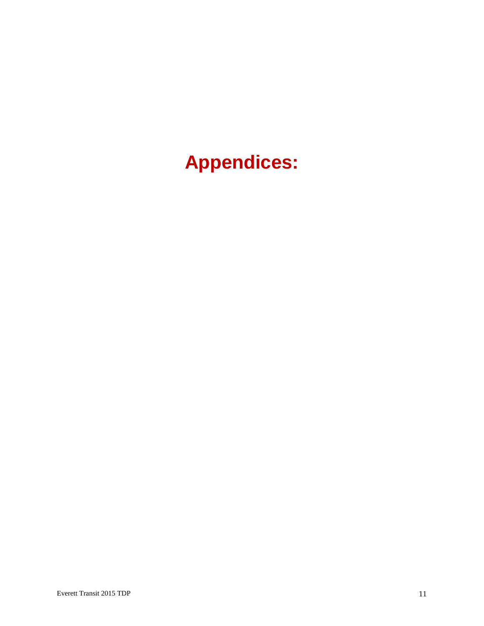# **Appendices:**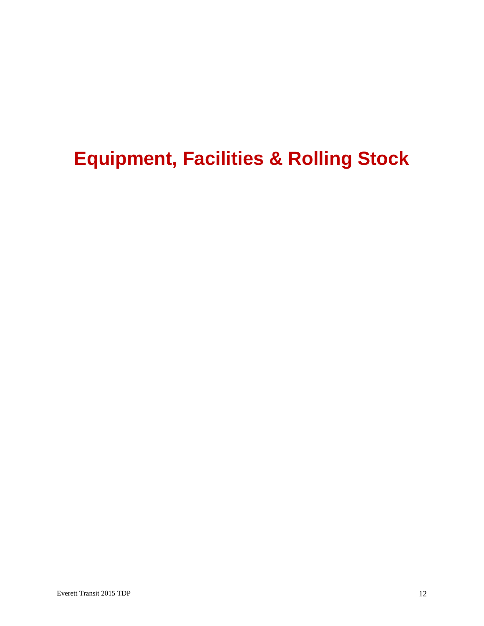# **Equipment, Facilities & Rolling Stock**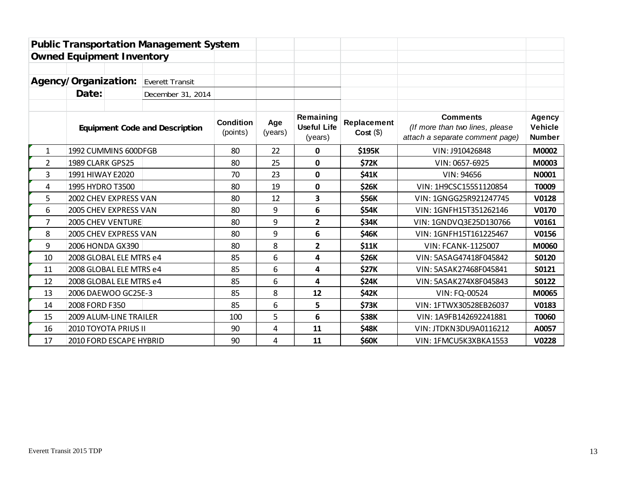|              |                                       | <b>Public Transportation Management System</b> |                |                                            |                           |                                                                                       |                                           |              |
|--------------|---------------------------------------|------------------------------------------------|----------------|--------------------------------------------|---------------------------|---------------------------------------------------------------------------------------|-------------------------------------------|--------------|
|              | <b>Owned Equipment Inventory</b>      |                                                |                |                                            |                           |                                                                                       |                                           |              |
|              |                                       |                                                |                |                                            |                           |                                                                                       |                                           |              |
|              | Agency/Organization:                  | Everett Transit                                |                |                                            |                           |                                                                                       |                                           |              |
|              | Date:                                 | December 31, 2014                              |                |                                            |                           |                                                                                       |                                           |              |
|              |                                       |                                                |                |                                            |                           |                                                                                       |                                           |              |
|              | <b>Equipment Code and Description</b> | <b>Condition</b><br>(points)                   | Age<br>(years) | Remaining<br><b>Useful Life</b><br>(years) | Replacement<br>$Cost(\$)$ | <b>Comments</b><br>(If more than two lines, please<br>attach a separate comment page) | Agency<br><b>Vehicle</b><br><b>Number</b> |              |
| $\mathbf{1}$ | 1992 CUMMINS 600DFGB                  |                                                | 80             | 22                                         | $\mathbf{0}$              | \$195K                                                                                | VIN: J910426848                           | M0002        |
| 2            | 1989 CLARK GPS25                      |                                                | 80             | 25                                         | 0                         | \$72K                                                                                 | VIN: 0657-6925                            | M0003        |
| 3            | 1991 HIWAY E2020                      |                                                | 70             | 23                                         | 0                         | \$41K                                                                                 | VIN: 94656                                | N0001        |
| 4            | 1995 HYDRO T3500                      |                                                | 80             | 19                                         | $\mathbf 0$               | <b>\$26K</b>                                                                          | VIN: 1H9CSC155S1120854                    | T0009        |
| 5            | 2002 CHEV EXPRESS VAN                 |                                                | 80             | 12                                         | 3                         | <b>\$56K</b>                                                                          | VIN: 1GNGG25R921247745                    | V0128        |
| 6            | 2005 CHEV EXPRESS VAN                 |                                                | 80             | 9                                          | 6                         | \$54K                                                                                 | VIN: 1GNFH15T351262146                    | V0170        |
| 7            | 2005 CHEV VENTURE                     |                                                | 80             | 9                                          | $\mathbf{2}$              | \$34K                                                                                 | VIN: 1GNDVQ3E25D130766                    | V0161        |
| 8            | 2005 CHEV EXPRESS VAN                 |                                                | 80             | 9                                          | 6                         | \$46K                                                                                 | VIN: 1GNFH15T161225467                    | V0156        |
| 9            | 2006 HONDA GX390                      |                                                | 80             | 8                                          | 2                         | \$11K                                                                                 | <b>VIN: FCANK-1125007</b>                 | M0060        |
| 10           | 2008 GLOBAL ELE MTRS e4               |                                                | 85             | 6                                          | 4                         | \$26K                                                                                 | VIN: 5ASAG47418F045842                    | <b>S0120</b> |
| 11           | 2008 GLOBAL ELE MTRS e4               |                                                | 85             | 6                                          | 4                         | <b>\$27K</b>                                                                          | VIN: 5ASAK27468F045841                    | S0121        |
| 12           | 2008 GLOBAL ELE MTRS e4               |                                                | 85             | 6                                          | 4                         | <b>\$24K</b>                                                                          | VIN: 5ASAK274X8F045843                    | S0122        |
| 13           | 2006 DAEWOO GC25E-3                   |                                                | 85             | 8                                          | 12                        | \$42K                                                                                 | VIN: FQ-00524                             | M0065        |
| 14           | 2008 FORD F350                        |                                                | 85             | 6                                          | 5                         | \$73K                                                                                 | VIN: 1FTWX30528EB26037                    | V0183        |
| 15           | 2009 ALUM-LINE TRAILER                |                                                | 100            | 5                                          | 6                         | \$38K                                                                                 | VIN: 1A9FB142692241881                    | T0060        |
| 16           | 2010 TOYOTA PRIUS II                  |                                                | 90             | 4                                          | 11                        | \$48K                                                                                 | VIN: JTDKN3DU9A0116212                    | A0057        |
| 17           | 2010 FORD ESCAPE HYBRID               |                                                | 90             | 4                                          | 11                        | \$60K                                                                                 | VIN: 1FMCU5K3XBKA1553                     | V0228        |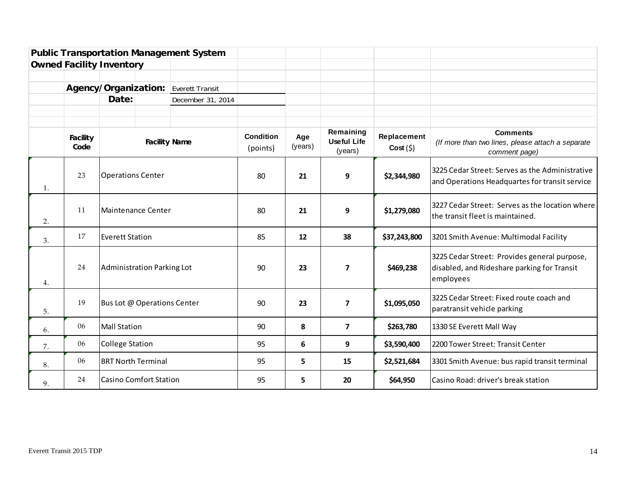|    |                         |                                 |                      | <b>Public Transportation Management System</b> |                       |                |                                            |                        |                                                                                                          |
|----|-------------------------|---------------------------------|----------------------|------------------------------------------------|-----------------------|----------------|--------------------------------------------|------------------------|----------------------------------------------------------------------------------------------------------|
|    |                         | <b>Owned Facility Inventory</b> |                      |                                                |                       |                |                                            |                        |                                                                                                          |
|    |                         |                                 |                      |                                                |                       |                |                                            |                        |                                                                                                          |
|    |                         | Agency/Organization:            |                      | <b>Everett Transit</b>                         |                       |                |                                            |                        |                                                                                                          |
|    |                         | Date:                           |                      | December 31, 2014                              |                       |                |                                            |                        |                                                                                                          |
|    |                         |                                 |                      |                                                |                       |                |                                            |                        |                                                                                                          |
|    |                         |                                 |                      |                                                |                       |                |                                            |                        |                                                                                                          |
|    | <b>Facility</b><br>Code |                                 | <b>Facility Name</b> |                                                | Condition<br>(points) | Age<br>(years) | Remaining<br><b>Useful Life</b><br>(years) | Replacement<br>Cost(5) | <b>Comments</b><br>(If more than two lines, please attach a separate<br>comment page)                    |
| 1. | 23                      | <b>Operations Center</b>        |                      |                                                | 80                    | 21             | 9                                          | \$2,344,980            | 3225 Cedar Street: Serves as the Administrative<br>and Operations Headquartes for transit service        |
| 2. | 11                      | Maintenance Center              |                      |                                                | 80                    | 21             | 9                                          | \$1,279,080            | 3227 Cedar Street: Serves as the location where<br>the transit fleet is maintained.                      |
| 3. | 17                      | <b>Everett Station</b>          |                      |                                                | 85                    | 12             | 38                                         | \$37,243,800           | 3201 Smith Avenue: Multimodal Facility                                                                   |
| 4. | 24                      | Administration Parking Lot      |                      |                                                | 90                    | 23             | $\overline{7}$                             | \$469,238              | 3225 Cedar Street: Provides general purpose,<br>disabled, and Rideshare parking for Transit<br>employees |
| 5. | 19                      | Bus Lot @ Operations Center     |                      |                                                | 90                    | 23             | $\overline{\mathbf{z}}$                    | \$1,095,050            | 3225 Cedar Street: Fixed route coach and<br>paratransit vehicle parking                                  |
| 6. | 06                      | <b>Mall Station</b>             |                      |                                                | 90                    | 8              | $\overline{\mathbf{z}}$                    | \$263,780              | 1330 SE Everett Mall Way                                                                                 |
| 7. | 06                      | <b>College Station</b>          |                      |                                                | 95                    | 6              | 9                                          | \$3,590,400            | 2200 Tower Street: Transit Center                                                                        |
| 8. | 06                      | <b>BRT North Terminal</b>       |                      |                                                | 95                    | 5.             | 15                                         | \$2,521,684            | 3301 Smith Avenue: bus rapid transit terminal                                                            |
| 9. | 24                      | <b>Casino Comfort Station</b>   |                      |                                                | 95                    | 5.             | 20                                         | \$64,950               | Casino Road: driver's break station                                                                      |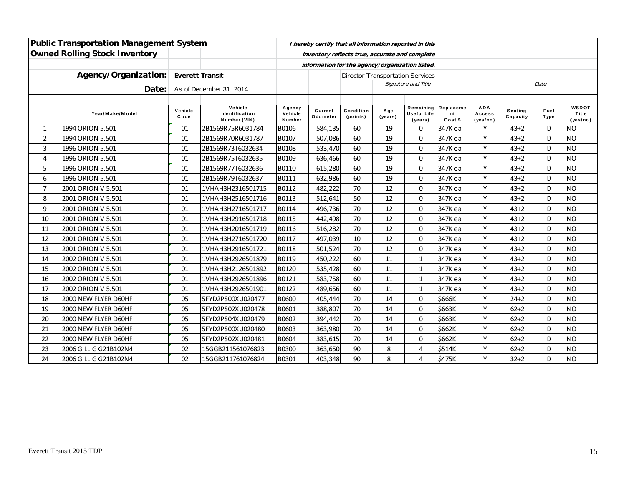|                | <b>Public Transportation Management System</b> |                        |                                           |                                                | I hereby certify that all information reported in this |                       |                 |                                            |                            |                                  |                            |                     |                                   |
|----------------|------------------------------------------------|------------------------|-------------------------------------------|------------------------------------------------|--------------------------------------------------------|-----------------------|-----------------|--------------------------------------------|----------------------------|----------------------------------|----------------------------|---------------------|-----------------------------------|
|                | <b>Owned Rolling Stock Inventory</b>           |                        |                                           | inventory reflects true, accurate and complete |                                                        |                       |                 |                                            |                            |                                  |                            |                     |                                   |
|                |                                                |                        |                                           |                                                | information for the agency/organization listed.        |                       |                 |                                            |                            |                                  |                            |                     |                                   |
|                | Agency/Organization:                           | <b>Everett Transit</b> |                                           |                                                |                                                        |                       |                 | <b>Director Transportation Services</b>    |                            |                                  |                            |                     |                                   |
|                | Date:                                          |                        | As of December 31, 2014                   |                                                |                                                        |                       |                 | Signature and Title                        |                            |                                  |                            | Date                |                                   |
|                |                                                |                        |                                           |                                                |                                                        |                       |                 |                                            |                            |                                  |                            |                     |                                   |
|                | Year/Make/Model                                | Vehicle<br>Code        | Vehicle<br>Identification<br>Number (VIN) | Agency<br>Vehicle<br>Number                    | Current<br>Odometer                                    | Condition<br>(points) | A ge<br>(years) | Remaining<br><b>Useful Life</b><br>(years) | Replaceme<br>nt<br>Cost \$ | <b>ADA</b><br>Access<br>(yes/no) | <b>Seating</b><br>Capacity | Fuel<br><b>Type</b> | <b>WSDOT</b><br>Title<br>(yes/no) |
| $\mathbf{1}$   | 1994 ORION 5.501                               | 01                     | 2B1569R75R6031784                         | B0106                                          | 584,135                                                | 60                    | 19              | $\mathbf 0$                                | 347K ea                    | Y                                | $43 + 2$                   | D                   | INO                               |
| $\overline{2}$ | 1994 ORION 5.501                               | 01                     | 2B1569R70R6031787                         | B0107                                          | 507,086                                                | 60                    | 19              | $\mathbf 0$                                | 347K ea                    | Υ                                | $43 + 2$                   | D                   | <b>NO</b>                         |
| 3              | 1996 ORION 5.501                               | 01                     | 2B1569R73T6032634                         | B0108                                          | 533,470                                                | 60                    | 19              | $\Omega$                                   | 347K ea                    | Y                                | $43 + 2$                   | D                   | INO                               |
| 4              | 1996 ORION 5.501                               | 01                     | 2B1569R75T6032635                         | B0109                                          | 636,466                                                | 60                    | 19              | $\mathbf 0$                                | 347K ea                    | Y                                | $43 + 2$                   | D                   | <b>NO</b>                         |
| 5              | 1996 ORION 5.501                               | 01                     | 2B1569R77T6032636                         | B0110                                          | 615,280                                                | 60                    | 19              | $\mathbf 0$                                | 347K ea                    | Y                                | $43 + 2$                   | D                   | <b>NO</b>                         |
| 6              | 1996 ORION 5.501                               | 01                     | 2B1569R79T6032637                         | B0111                                          | 632,986                                                | 60                    | 19              | $\mathbf 0$                                | 347K ea                    | Y                                | $43 + 2$                   | D                   | <b>NO</b>                         |
| $\overline{7}$ | 2001 ORION V 5.501                             | 01                     | 1VHAH3H2316501715                         | B0112                                          | 482,222                                                | 70                    | 12              | $\Omega$                                   | 347K ea                    | Y                                | $43 + 2$                   | D                   | <b>NO</b>                         |
| 8              | 2001 ORION V 5.501                             | 01                     | 1VHAH3H2516501716                         | B0113                                          | 512,641                                                | 50                    | 12              | $\Omega$                                   | 347K ea                    | Y                                | $43 + 2$                   | D                   | <b>NO</b>                         |
| 9              | 2001 ORION V 5.501                             | 01                     | 1VHAH3H2716501717                         | B0114                                          | 496,736                                                | 70                    | 12              | $\mathbf 0$                                | 347K ea                    | Y                                | $43 + 2$                   | D                   | <b>NO</b>                         |
| 10             | 2001 ORION V 5.501                             | 01                     | 1VHAH3H2916501718                         | B0115                                          | 442,498                                                | 70                    | 12              | $\mathbf 0$                                | 347K ea                    | Y                                | $43 + 2$                   | D                   | <b>NO</b>                         |
| 11             | 2001 ORION V 5.501                             | 01                     | 1VHAH3H2016501719                         | B0116                                          | 516,282                                                | 70                    | 12              | $\mathbf 0$                                | 347K ea                    | Υ                                | $43 + 2$                   | D                   | INO                               |
| 12             | 2001 ORION V 5.501                             | 01                     | 1VHAH3H2716501720                         | B0117                                          | 497,039                                                | 10                    | 12              | $\Omega$                                   | 347K ea                    | Υ                                | $43 + 2$                   | D                   | <b>NO</b>                         |
| 13             | 2001 ORION V 5.501                             | 01                     | 1VHAH3H2916501721                         | B0118                                          | 501,524                                                | 70                    | 12              | $\Omega$                                   | 347K ea                    | Y                                | $43 + 2$                   | D                   | <b>NO</b>                         |
| 14             | 2002 ORION V 5.501                             | 01                     | 1VHAH3H2926501879                         | B0119                                          | 450,222                                                | 60                    | 11              | $\mathbf{1}$                               | 347K ea                    | Y                                | $43 + 2$                   | D                   | <b>NO</b>                         |
| 15             | 2002 ORION V 5.501                             | 01                     | 1VHAH3H2126501892                         | B0120                                          | 535,428                                                | 60                    | 11              | $\mathbf 1$                                | 347K ea                    | Y                                | $43 + 2$                   | D                   | <b>NO</b>                         |
| 16             | 2002 ORION V 5.501                             | 01                     | 1VHAH3H2926501896                         | B0121                                          | 583,758                                                | 60                    | 11              | $\mathbf{1}$                               | 347K ea                    | Y                                | $43 + 2$                   | D                   | <b>NO</b>                         |
| 17             | 2002 ORION V 5.501                             | 01                     | 1VHAH3H2926501901                         | B0122                                          | 489,656                                                | 60                    | 11              | 1                                          | 347K ea                    | Y                                | $43 + 2$                   | D                   | INO                               |
| 18             | 2000 NEW FLYER D60HF                           | 05                     | 5FYD2PS00XU020477                         | <b>B0600</b>                                   | 405,444                                                | 70                    | 14              | 0                                          | \$666K                     | Y                                | $24 + 2$                   | D                   | <b>NO</b>                         |
| 19             | 2000 NEW FLYER D60HF                           | 05                     | 5FYD2PS02XU020478                         | B0601                                          | 388,807                                                | 70                    | 14              | $\Omega$                                   | \$663K                     | Y                                | $62 + 2$                   | D                   | <b>NO</b>                         |
| 20             | 2000 NEW FLYER D60HF                           | 05                     | 5FYD2PS04XU020479                         | B0602                                          | 394,442                                                | 70                    | 14              | $\mathbf 0$                                | \$663K                     | Y                                | $62 + 2$                   | D                   | <b>NO</b>                         |
| 21             | 2000 NEW FLYER D60HF                           | 05                     | 5FYD2PS00XU020480                         | B0603                                          | 363,980                                                | 70                    | 14              | 0                                          | \$662K                     | Y                                | $62 + 2$                   | D                   | <b>NO</b>                         |
| 22             | 2000 NEW FLYER D60HF                           | 05                     | 5FYD2PS02XU020481                         | B0604                                          | 383,615                                                | 70                    | 14              | $\mathbf 0$                                | \$662K                     | Y                                | $62 + 2$                   | D                   | <b>NO</b>                         |
| 23             | 2006 GILLIG G21B102N4                          | 02                     | 15GGB211561076823                         | B0300                                          | 363,650                                                | 90                    | 8               | 4                                          | \$514K                     | Y                                | $62 + 2$                   | D                   | <b>NO</b>                         |
| 24             | 2006 GILLIG G21B102N4                          | 02                     | 15GGB211761076824                         | B0301                                          | 403,348                                                | 90                    | 8               | 4                                          | \$475K                     | Y                                | $32 + 2$                   | D                   | <b>NO</b>                         |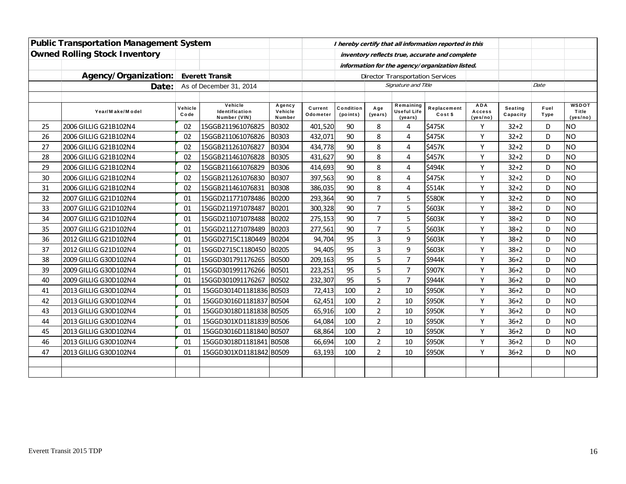|    | <b>Public Transportation Management System</b> |                 |                                           |                             |                     |                       |                                                 |                                            | I hereby certify that all information reported in this |                                  |                            |                     |                                   |
|----|------------------------------------------------|-----------------|-------------------------------------------|-----------------------------|---------------------|-----------------------|-------------------------------------------------|--------------------------------------------|--------------------------------------------------------|----------------------------------|----------------------------|---------------------|-----------------------------------|
|    | <b>Owned Rolling Stock Inventory</b>           |                 |                                           |                             |                     |                       |                                                 |                                            | inventory reflects true, accurate and complete         |                                  |                            |                     |                                   |
|    |                                                |                 |                                           |                             |                     |                       | information for the agency/organization listed. |                                            |                                                        |                                  |                            |                     |                                   |
|    | Agency/Organization:                           |                 | <b>Everett Transit</b>                    |                             |                     |                       |                                                 | <b>Director Transportation Services</b>    |                                                        |                                  |                            |                     |                                   |
|    | Date:                                          |                 | As of December 31, 2014                   |                             |                     |                       |                                                 | Signature and Title                        |                                                        |                                  |                            | Date                |                                   |
|    |                                                |                 |                                           |                             |                     |                       |                                                 |                                            |                                                        |                                  |                            |                     |                                   |
|    | Year/Make/Model                                | Vehicle<br>Code | Vehicle<br>Identification<br>Number (VIN) | Agency<br>Vehicle<br>Number | Current<br>Odometer | Condition<br>(points) | Age<br>(years)                                  | Remaining<br><b>Useful Life</b><br>(years) | Replacement<br>Cost \$                                 | <b>ADA</b><br>Access<br>(yes/no) | <b>Seating</b><br>Capacity | Fuel<br><b>Type</b> | <b>WSDOT</b><br>Title<br>(yes/no) |
| 25 | 2006 GILLIG G21B102N4                          | 02              | 15GGB211961076825                         | B0302                       | 401,520             | 90                    | 8                                               | 4                                          | \$475K                                                 | Y                                | $32 + 2$                   | D                   | <b>NO</b>                         |
| 26 | 2006 GILLIG G21B102N4                          | 02              | 15GGB211061076826                         | B0303                       | 432,071             | 90                    | 8                                               | 4                                          | \$475K                                                 | Υ                                | $32 + 2$                   | D                   | <b>NO</b>                         |
| 27 | 2006 GILLIG G21B102N4                          | 02              | 15GGB211261076827                         | <b>B0304</b>                | 434,778             | 90                    | 8                                               | 4                                          | <b>\$457K</b>                                          | Y                                | $32 + 2$                   | D                   | <b>NO</b>                         |
| 28 | 2006 GILLIG G21B102N4                          | 02              | 15GGB211461076828                         | <b>B0305</b>                | 431,627             | 90                    | 8                                               | 4                                          | \$457K                                                 | Y                                | $32 + 2$                   | D                   | <b>NO</b>                         |
| 29 | 2006 GILLIG G21B102N4                          | 02              | 15GGB211661076829                         | B0306                       | 414,693             | 90                    | 8                                               | 4                                          | \$494K                                                 | Υ                                | $32 + 2$                   | D                   | <b>NO</b>                         |
| 30 | 2006 GILLIG G21B102N4                          | 02              | 15GGB211261076830                         | B0307                       | 397,563             | 90                    | 8                                               | 4                                          | \$475K                                                 | Υ                                | $32 + 2$                   | D                   | <b>NO</b>                         |
| 31 | 2006 GILLIG G21B102N4                          | 02              | 15GGB211461076831                         | <b>B0308</b>                | 386,035             | 90                    | 8                                               | 4                                          | \$514K                                                 | Y                                | $32 + 2$                   | D                   | <b>NO</b>                         |
| 32 | 2007 GILLIG G21D102N4                          | 01              | 15GGD211771078486                         | <b>B0200</b>                | 293,364             | 90                    | $\overline{7}$                                  | 5                                          | \$580K                                                 | Y                                | $32 + 2$                   | D                   | <b>NO</b>                         |
| 33 | 2007 GILLIG G21D102N4                          | 01              | 15GGD211971078487                         | B0201                       | 300,328             | 90                    | $\overline{7}$                                  | 5                                          | \$603K                                                 | Y                                | $38 + 2$                   | D                   | <b>NO</b>                         |
| 34 | 2007 GILLIG G21D102N4                          | 01              | 15GGD211071078488                         | B0202                       | 275,153             | 90                    | 7                                               | 5                                          | \$603K                                                 | Υ                                | $38 + 2$                   | D                   | <b>NO</b>                         |
| 35 | 2007 GILLIG G21D102N4                          | 01              | 15GGD211271078489                         | <b>B0203</b>                | 277,561             | 90                    | $\overline{7}$                                  | 5                                          | \$603K                                                 | Y                                | $38 + 2$                   | D                   | <b>NO</b>                         |
| 36 | 2012 GILLIG G21D102N4                          | 01              | 15GGD2715C1180449                         | B0204                       | 94,704              | 95                    | 3                                               | 9                                          | \$603K                                                 | Y                                | $38 + 2$                   | D                   | <b>NO</b>                         |
| 37 | 2012 GILLIG G21D102N4                          | 01              | 15GGD2715C1180450                         | B0205                       | 94,405              | 95                    | 3                                               | 9                                          | \$603K                                                 | Y                                | $38 + 2$                   | D                   | <b>NO</b>                         |
| 38 | 2009 GILLIG G30D102N4                          | 01              | 15GGD301791176265                         | <b>B0500</b>                | 209,163             | 95                    | 5                                               | $\overline{7}$                             | \$944K                                                 | Υ                                | $36 + 2$                   | D                   | <b>NO</b>                         |
| 39 | 2009 GILLIG G30D102N4                          | 01              | 15GGD301991176266                         | <b>B0501</b>                | 223,251             | 95                    | 5                                               | $\overline{7}$                             | \$907K                                                 | Υ                                | $36 + 2$                   | D                   | <b>NO</b>                         |
| 40 | 2009 GILLIG G30D102N4                          | 01              | 15GGD301091176267                         | B0502                       | 232,307             | 95                    | 5                                               | $\overline{7}$                             | \$944K                                                 | Y                                | $36 + 2$                   | D                   | <b>NO</b>                         |
| 41 | 2013 GILLIG G30D102N4                          | 01              | 15GGD3014D1181836 B0503                   |                             | 72,413              | 100                   | $\overline{2}$                                  | 10                                         | \$950K                                                 | Y                                | $36 + 2$                   | D                   | <b>NO</b>                         |
| 42 | 2013 GILLIG G30D102N4                          | 01              | 15GGD3016D1181837 B0504                   |                             | 62,451              | 100                   | $\overline{2}$                                  | 10                                         | \$950K                                                 | Υ                                | $36 + 2$                   | D                   | <b>NO</b>                         |
| 43 | 2013 GILLIG G30D102N4                          | 01              | 15GGD3018D1181838 B0505                   |                             | 65,916              | 100                   | $\overline{2}$                                  | 10                                         | \$950K                                                 | Y                                | $36 + 2$                   | D                   | <b>NO</b>                         |
| 44 | 2013 GILLIG G30D102N4                          | 01              | 15GGD301XD1181839 B0506                   |                             | 64,084              | 100                   | $\overline{2}$                                  | 10                                         | \$950K                                                 | Y                                | $36 + 2$                   | D                   | <b>NO</b>                         |
| 45 | 2013 GILLIG G30D102N4                          | 01              | 15GGD3016D1181840 B0507                   |                             | 68,864              | 100                   | $\overline{2}$                                  | $10\,$                                     | \$950K                                                 | Υ                                | $36 + 2$                   | D                   | <b>NO</b>                         |
| 46 | 2013 GILLIG G30D102N4                          | 01              | 15GGD3018D1181841                         | B0508                       | 66,694              | 100                   | $\overline{2}$                                  | 10                                         | \$950K                                                 | Υ                                | $36 + 2$                   | D                   | <b>NO</b>                         |
| 47 | 2013 GILLIG G30D102N4                          | 01              | 15GGD301XD1181842 B0509                   |                             | 63,193              | 100                   | $\overline{2}$                                  | 10                                         | \$950K                                                 | Y                                | $36 + 2$                   | D                   | <b>NO</b>                         |
|    |                                                |                 |                                           |                             |                     |                       |                                                 |                                            |                                                        |                                  |                            |                     |                                   |
|    |                                                |                 |                                           |                             |                     |                       |                                                 |                                            |                                                        |                                  |                            |                     |                                   |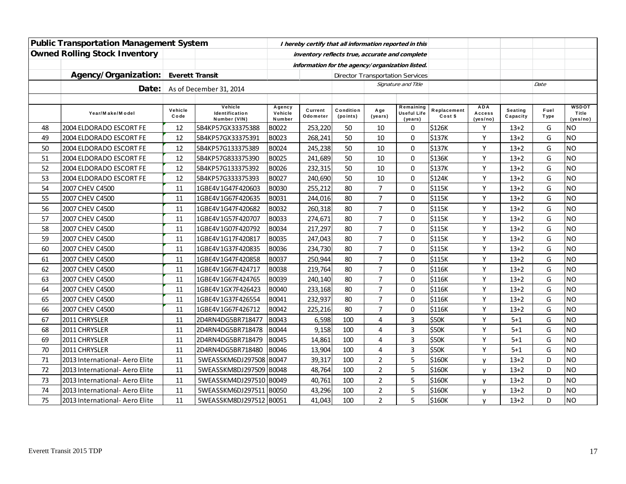| <b>Public Transportation Management System</b> |                                |                        |                                                | I hereby certify that all information reported in this |                     |                                         |                |                                            |                        |                                  |                     |                     |                                   |
|------------------------------------------------|--------------------------------|------------------------|------------------------------------------------|--------------------------------------------------------|---------------------|-----------------------------------------|----------------|--------------------------------------------|------------------------|----------------------------------|---------------------|---------------------|-----------------------------------|
| <b>Owned Rolling Stock Inventory</b>           |                                |                        | inventory reflects true, accurate and complete |                                                        |                     |                                         |                |                                            |                        |                                  |                     |                     |                                   |
|                                                |                                |                        |                                                | information for the agency/organization listed.        |                     |                                         |                |                                            |                        |                                  |                     |                     |                                   |
|                                                | Agency/Organization:           | <b>Everett Transit</b> |                                                |                                                        |                     | <b>Director Transportation Services</b> |                |                                            |                        |                                  |                     |                     |                                   |
|                                                | Date:                          |                        | As of December 31, 2014                        |                                                        |                     |                                         |                | Signature and Title                        |                        |                                  |                     | Date                |                                   |
|                                                |                                |                        |                                                |                                                        |                     |                                         |                |                                            |                        |                                  |                     |                     |                                   |
|                                                | Year/Make/Model                | Vehicle<br>Code        | Vehicle<br>Identification<br>Number (VIN)      | Agency<br>Vehicle<br>Number                            | Current<br>Odometer | Condition<br>(points)                   | Age<br>(years) | Remaining<br><b>Useful Life</b><br>(years) | Replacement<br>Cost \$ | <b>ADA</b><br>Access<br>(yes/no) | Seating<br>Capacity | Fuel<br><b>Type</b> | <b>WSDOT</b><br>Title<br>(yes/no) |
| 48                                             | 2004 ELDORADO ESCORT FE        | 12                     | 5B4KP57GX33375388                              | B0022                                                  | 253,220             | 50                                      | 10             | $\mathbf 0$                                | \$126K                 | Υ                                | $13 + 2$            | G                   | <b>NO</b>                         |
| 49                                             | 2004 ELDORADO ESCORT FE        | 12                     | 5B4KP57GX33375391                              | <b>B0023</b>                                           | 268,241             | 50                                      | 10             | $\mathbf 0$                                | \$137K                 | Y                                | $13 + 2$            | G                   | <b>NO</b>                         |
| 50                                             | 2004 ELDORADO ESCORT FE        | 12                     | 5B4KP57G133375389                              | <b>B0024</b>                                           | 245,238             | 50                                      | 10             | $\pmb{0}$                                  | \$137K                 | Y                                | $13 + 2$            | G                   | <b>NO</b>                         |
| 51                                             | 2004 ELDORADO ESCORT FE        | 12                     | 5B4KP57G833375390                              | <b>B0025</b>                                           | 241,689             | 50                                      | 10             | $\pmb{0}$                                  | \$136K                 | Y                                | $13 + 2$            | G                   | <b>NO</b>                         |
| 52                                             | 2004 ELDORADO ESCORT FE        | 12                     | 5B4KP57G133375392                              | B0026                                                  | 232,315             | 50                                      | 10             | $\mathbf 0$                                | \$137K                 | Y                                | $13+2$              | G                   | <b>NO</b>                         |
| 53                                             | 2004 ELDORADO ESCORT FE        | 12                     | 5B4KP57G333375393                              | <b>B0027</b>                                           | 240,690             | 50                                      | 10             | $\pmb{0}$                                  | \$124K                 | Υ                                | $13+2$              | G                   | <b>NO</b>                         |
| 54                                             | 2007 CHEV C4500                | 11                     | 1GBE4V1G47F420603                              | <b>B0030</b>                                           | 255,212             | 80                                      | $\overline{7}$ | $\pmb{0}$                                  | \$115K                 | Υ                                | $13 + 2$            | G                   | <b>NO</b>                         |
| 55                                             | 2007 CHEV C4500                | 11                     | 1GBE4V1G67F420635                              | B0031                                                  | 244,016             | 80                                      | $\overline{7}$ | $\mathbf 0$                                | \$115K                 | Y                                | $13+2$              | G                   | <b>NO</b>                         |
| 56                                             | 2007 CHEV C4500                | 11                     | 1GBE4V1G47F420682                              | <b>B0032</b>                                           | 260,318             | 80                                      | $\overline{7}$ | $\pmb{0}$                                  | \$115K                 | Y                                | $13 + 2$            | G                   | <b>NO</b>                         |
| 57                                             | 2007 CHEV C4500                | 11                     | 1GBE4V1G57F420707                              | <b>B0033</b>                                           | 274,671             | 80                                      | $\overline{7}$ | $\mathbf 0$                                | \$115K                 | Y                                | $13 + 2$            | G                   | <b>NO</b>                         |
| 58                                             | 2007 CHEV C4500                | 11                     | 1GBE4V1G07F420792                              | <b>B0034</b>                                           | 217,297             | 80                                      | $\overline{7}$ | $\mathbf 0$                                | \$115K                 | Y                                | $13 + 2$            | G                   | <b>NO</b>                         |
| 59                                             | 2007 CHEV C4500                | 11                     | 1GBE4V1G17F420817                              | <b>B0035</b>                                           | 247,043             | 80                                      | $\overline{7}$ | 0                                          | \$115K                 | Y                                | $13+2$              | G                   | <b>NO</b>                         |
| 60                                             | 2007 CHEV C4500                | 11                     | 1GBE4V1G37F420835                              | <b>B0036</b>                                           | 234,730             | 80                                      | $\overline{7}$ | $\mathbf 0$                                | \$115K                 | Y                                | $13 + 2$            | G                   | <b>NO</b>                         |
| 61                                             | 2007 CHEV C4500                | 11                     | 1GBE4V1G47F420858                              | <b>B0037</b>                                           | 250,944             | 80                                      | $\overline{7}$ | $\mathbf 0$                                | \$115K                 | Y                                | $13+2$              | G                   | <b>NO</b>                         |
| 62                                             | 2007 CHEV C4500                | 11                     | 1GBE4V1G67F424717                              | <b>B0038</b>                                           | 219,764             | 80                                      | $\overline{7}$ | $\mathbf 0$                                | \$116K                 | Y                                | $13+2$              | G                   | <b>NO</b>                         |
| 63                                             | 2007 CHEV C4500                | 11                     | 1GBE4V1G67F424765                              | B0039                                                  | 240,140             | 80                                      | $\overline{7}$ | $\pmb{0}$                                  | \$116K                 | Y                                | $13+2$              | G                   | <b>NO</b>                         |
| 64                                             | 2007 CHEV C4500                | 11                     | 1GBE4V1GX7F426423                              | B0040                                                  | 233,168             | 80                                      | $\overline{7}$ | $\mathbf 0$                                | \$116K                 | Y                                | $13+2$              | G                   | <b>NO</b>                         |
| 65                                             | 2007 CHEV C4500                | 11                     | 1GBE4V1G37F426554                              | B0041                                                  | 232,937             | 80                                      | $\overline{7}$ | 0                                          | \$116K                 | Y                                | $13 + 2$            | G                   | <b>NO</b>                         |
| 66                                             | 2007 CHEV C4500                | 11                     | 1GBE4V1G67F426712                              | <b>B0042</b>                                           | 225,216             | 80                                      | $\overline{7}$ | $\pmb{0}$                                  | \$116K                 | Υ                                | $13 + 2$            | G                   | <b>NO</b>                         |
| 67                                             | 2011 CHRYSLER                  | 11                     | 2D4RN4DG5BR718477                              | B0043                                                  | 6,598               | 100                                     | 4              | $\mathbf{3}$                               | \$50K                  | Y                                | $5 + 1$             | G                   | <b>NO</b>                         |
| 68                                             | 2011 CHRYSLER                  | 11                     | 2D4RN4DG5BR718478                              | <b>B0044</b>                                           | 9,158               | 100                                     | 4              | $\mathbf{3}$                               | \$50K                  | Y                                | $5 + 1$             | G                   | <b>NO</b>                         |
| 69                                             | 2011 CHRYSLER                  | 11                     | 2D4RN4DG5BR718479                              | <b>B0045</b>                                           | 14,861              | 100                                     | 4              | $\mathbf{3}$                               | \$50K                  | Υ                                | $5 + 1$             | G                   | <b>NO</b>                         |
| 70                                             | 2011 CHRYSLER                  | 11                     | 2D4RN4DG5BR718480                              | B0046                                                  | 13,904              | 100                                     | 4              | 3                                          | \$50K                  | Υ                                | $5 + 1$             | G                   | <b>NO</b>                         |
| 71                                             | 2013 International- Aero Elite | 11                     | 5WEASSKM6DJ297508 B0047                        |                                                        | 39,317              | 100                                     | $\overline{2}$ | 5                                          | \$160K                 | v                                | $13+2$              | D                   | <b>NO</b>                         |
| 72                                             | 2013 International- Aero Elite | 11                     | 5WEASSKM8DJ297509 B0048                        |                                                        | 48,764              | 100                                     | $\overline{2}$ | 5                                          | \$160K                 | y                                | $13+2$              | D                   | <b>NO</b>                         |
| 73                                             | 2013 International- Aero Elite | 11                     | 5WEASSKM4DJ297510 B0049                        |                                                        | 40,761              | 100                                     | $\overline{2}$ | 5                                          | \$160K                 | y                                | $13+2$              | D                   | <b>NO</b>                         |
| 74                                             | 2013 International- Aero Elite | 11                     | 5WEASSKM6DJ297511 B0050                        |                                                        | 43,296              | 100                                     | $\overline{2}$ | 5                                          | \$160K                 | y                                | $13+2$              | D                   | <b>NO</b>                         |
| 75                                             | 2013 International- Aero Elite | 11                     | 5WEASSKM8DJ297512 B0051                        |                                                        | 41,043              | 100                                     | $\overline{2}$ | 5                                          | \$160K                 | v                                | $13+2$              | D                   | <b>NO</b>                         |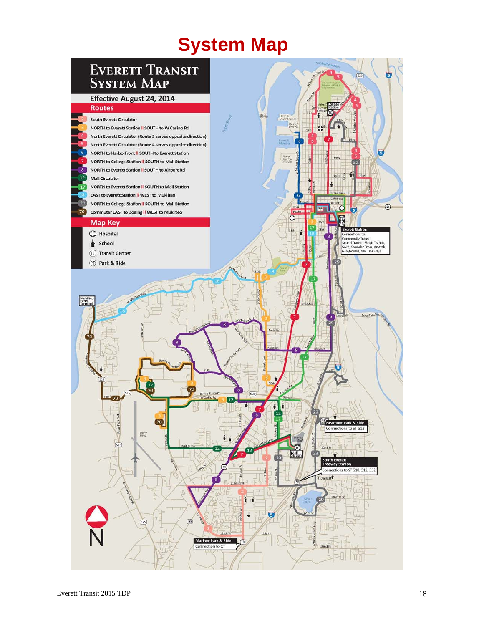# **System Map**

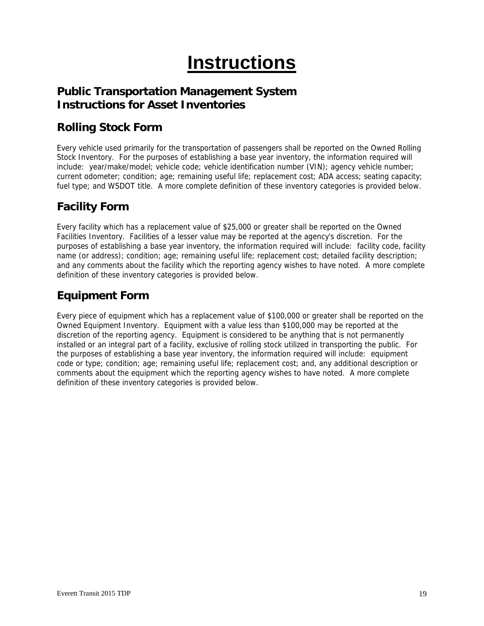# **Instructions**

### **Public Transportation Management System Instructions for Asset Inventories**

## **Rolling Stock Form**

Every vehicle used primarily for the transportation of passengers shall be reported on the Owned Rolling Stock Inventory. For the purposes of establishing a base year inventory, the information required will include: year/make/model; vehicle code; vehicle identification number (VIN); agency vehicle number; current odometer; condition; age; remaining useful life; replacement cost; ADA access; seating capacity; fuel type; and WSDOT title. A more complete definition of these inventory categories is provided below.

### **Facility Form**

Every facility which has a replacement value of \$25,000 or greater shall be reported on the Owned Facilities Inventory. Facilities of a lesser value may be reported at the agency's discretion. For the purposes of establishing a base year inventory, the information required will include: facility code, facility name (or address); condition; age; remaining useful life; replacement cost; detailed facility description; and any comments about the facility which the reporting agency wishes to have noted. A more complete definition of these inventory categories is provided below.

### **Equipment Form**

Every piece of equipment which has a replacement value of \$100,000 or greater shall be reported on the Owned Equipment Inventory. Equipment with a value less than \$100,000 may be reported at the discretion of the reporting agency. Equipment is considered to be anything that is not permanently installed or an integral part of a facility, exclusive of rolling stock utilized in transporting the public. For the purposes of establishing a base year inventory, the information required will include: equipment code or type; condition; age; remaining useful life; replacement cost; and, any additional description or comments about the equipment which the reporting agency wishes to have noted. A more complete definition of these inventory categories is provided below.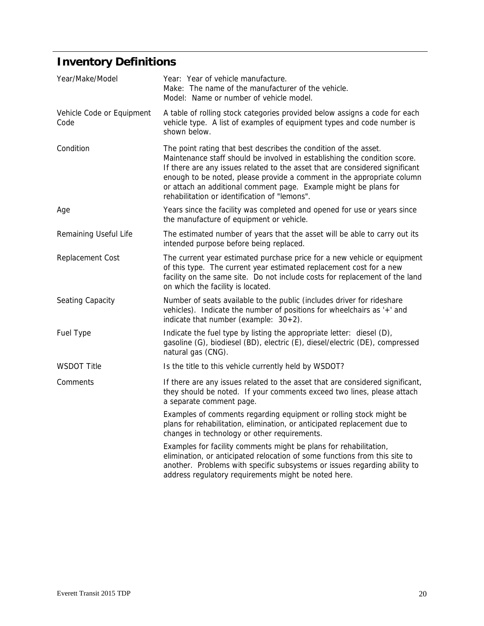# **Inventory Definitions**

| Year/Make/Model                   | Year: Year of vehicle manufacture.<br>Make: The name of the manufacturer of the vehicle.<br>Model: Name or number of vehicle model.                                                                                                                                                                                                                                                                                          |
|-----------------------------------|------------------------------------------------------------------------------------------------------------------------------------------------------------------------------------------------------------------------------------------------------------------------------------------------------------------------------------------------------------------------------------------------------------------------------|
| Vehicle Code or Equipment<br>Code | A table of rolling stock categories provided below assigns a code for each<br>vehicle type. A list of examples of equipment types and code number is<br>shown below.                                                                                                                                                                                                                                                         |
| Condition                         | The point rating that best describes the condition of the asset.<br>Maintenance staff should be involved in establishing the condition score.<br>If there are any issues related to the asset that are considered significant<br>enough to be noted, please provide a comment in the appropriate column<br>or attach an additional comment page. Example might be plans for<br>rehabilitation or identification of "lemons". |
| Age                               | Years since the facility was completed and opened for use or years since<br>the manufacture of equipment or vehicle.                                                                                                                                                                                                                                                                                                         |
| Remaining Useful Life             | The estimated number of years that the asset will be able to carry out its<br>intended purpose before being replaced.                                                                                                                                                                                                                                                                                                        |
| Replacement Cost                  | The current year estimated purchase price for a new vehicle or equipment<br>of this type. The current year estimated replacement cost for a new<br>facility on the same site. Do not include costs for replacement of the land<br>on which the facility is located.                                                                                                                                                          |
| Seating Capacity                  | Number of seats available to the public (includes driver for rideshare<br>vehicles). Indicate the number of positions for wheelchairs as '+' and<br>indicate that number (example: $30+2$ ).                                                                                                                                                                                                                                 |
| <b>Fuel Type</b>                  | Indicate the fuel type by listing the appropriate letter: diesel (D),<br>gasoline (G), biodiesel (BD), electric (E), diesel/electric (DE), compressed<br>natural gas (CNG).                                                                                                                                                                                                                                                  |
| <b>WSDOT Title</b>                | Is the title to this vehicle currently held by WSDOT?                                                                                                                                                                                                                                                                                                                                                                        |
| Comments                          | If there are any issues related to the asset that are considered significant,<br>they should be noted. If your comments exceed two lines, please attach<br>a separate comment page.                                                                                                                                                                                                                                          |
|                                   | Examples of comments regarding equipment or rolling stock might be<br>plans for rehabilitation, elimination, or anticipated replacement due to<br>changes in technology or other requirements.                                                                                                                                                                                                                               |
|                                   | Examples for facility comments might be plans for rehabilitation,<br>elimination, or anticipated relocation of some functions from this site to<br>another. Problems with specific subsystems or issues regarding ability to<br>address regulatory requirements might be noted here.                                                                                                                                         |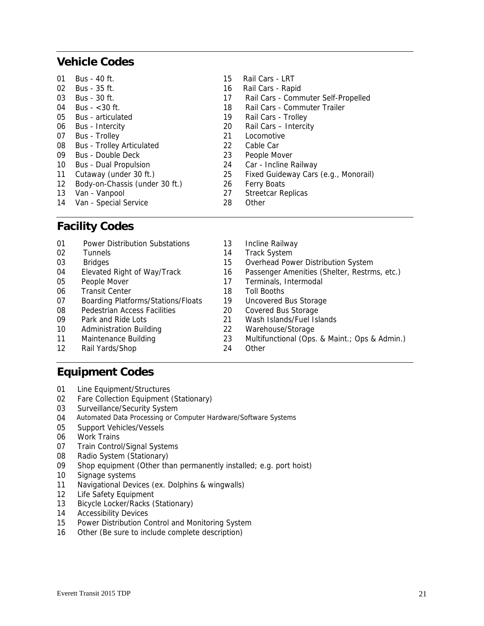### **Vehicle Codes**

| 01 | Bus - 40 ft.                     | 15 | Rail Cars - LRT                      |
|----|----------------------------------|----|--------------------------------------|
| 02 | Bus - 35 ft.                     | 16 | Rail Cars - Rapid                    |
| 03 | Bus - 30 ft.                     | 17 | Rail Cars - Commuter Self-Propelled  |
| 04 | Bus $-$ < 30 ft.                 | 18 | Rail Cars - Commuter Trailer         |
| 05 | <b>Bus</b> - articulated         | 19 | Rail Cars - Trolley                  |
| 06 | Bus - Intercity                  | 20 | Rail Cars - Intercity                |
| 07 | <b>Bus</b> - Trolley             | 21 | Locomotive                           |
| 08 | <b>Bus - Trolley Articulated</b> | 22 | Cable Car                            |
| 09 | Bus - Double Deck                | 23 | People Mover                         |
| 10 | <b>Bus - Dual Propulsion</b>     | 24 | Car - Incline Railway                |
| 11 | Cutaway (under 30 ft.)           | 25 | Fixed Guideway Cars (e.g., Monorail) |
| 12 | Body-on-Chassis (under 30 ft.)   | 26 | <b>Ferry Boats</b>                   |
| 13 | Van - Vanpool                    | 27 | <b>Streetcar Replicas</b>            |
| 14 | Van - Special Service            | 28 | Other                                |

### **Facility Codes**

| 01 | <b>Power Distribution Substations</b>     | 13 | Incline Railway                               |
|----|-------------------------------------------|----|-----------------------------------------------|
| 02 | <b>Tunnels</b>                            | 14 | <b>Track System</b>                           |
| 03 | <b>Bridges</b>                            | 15 | Overhead Power Distribution System            |
| 04 | Elevated Right of Way/Track               | 16 | Passenger Amenities (Shelter, Restrms, etc.)  |
| 05 | People Mover                              | 17 | Terminals, Intermodal                         |
| 06 | <b>Transit Center</b>                     | 18 | Toll Booths                                   |
| 07 | <b>Boarding Platforms/Stations/Floats</b> | 19 | Uncovered Bus Storage                         |
| 08 | Pedestrian Access Facilities              | 20 | <b>Covered Bus Storage</b>                    |
| 09 | Park and Ride Lots                        | 21 | Wash Islands/Fuel Islands                     |
| 10 | Administration Building                   | 22 | Warehouse/Storage                             |
| 11 | Maintenance Building                      | 23 | Multifunctional (Ops. & Maint.; Ops & Admin.) |
| 12 | Rail Yards/Shop                           | 24 | Other                                         |

### **Equipment Codes**

- 01 Line Equipment/Structures
- 02 Fare Collection Equipment (Stationary)
- 03 Surveillance/Security System
- 04 Automated Data Processing or Computer Hardware/Software Systems
- 05 Support Vehicles/Vessels
- 06 Work Trains
- 07 Train Control/Signal Systems
- 08 Radio System (Stationary)
- 09 Shop equipment (Other than permanently installed; e.g. port hoist)
- 10 Signage systems
- 11 Navigational Devices (ex. Dolphins & wingwalls)
- 12 Life Safety Equipment
- 13 Bicycle Locker/Racks (Stationary)
- 14 Accessibility Devices
- 15 Power Distribution Control and Monitoring System
- 16 Other (Be sure to include complete description)